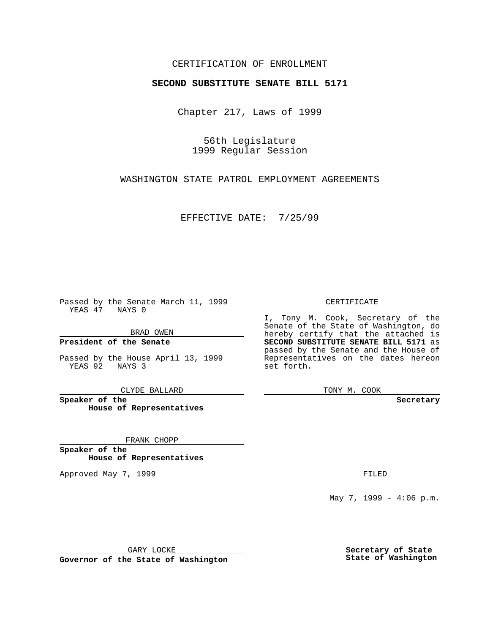## CERTIFICATION OF ENROLLMENT

## **SECOND SUBSTITUTE SENATE BILL 5171**

Chapter 217, Laws of 1999

56th Legislature 1999 Regular Session

WASHINGTON STATE PATROL EMPLOYMENT AGREEMENTS

EFFECTIVE DATE: 7/25/99

Passed by the Senate March 11, 1999 YEAS 47 NAYS 0

BRAD OWEN

**President of the Senate**

Passed by the House April 13, 1999 YEAS 92 NAYS 3

CLYDE BALLARD

**Speaker of the House of Representatives**

FRANK CHOPP

**Speaker of the House of Representatives**

Approved May 7, 1999 **FILED** 

CERTIFICATE

I, Tony M. Cook, Secretary of the Senate of the State of Washington, do hereby certify that the attached is **SECOND SUBSTITUTE SENATE BILL 5171** as passed by the Senate and the House of Representatives on the dates hereon set forth.

TONY M. COOK

**Secretary**

May 7, 1999 - 4:06 p.m.

GARY LOCKE

**Governor of the State of Washington**

**Secretary of State State of Washington**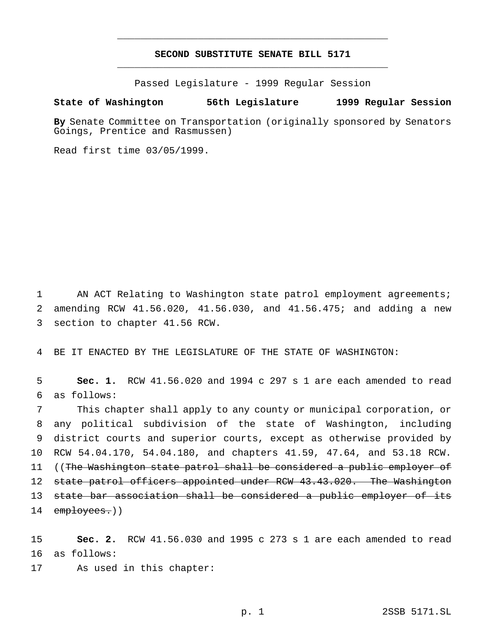## **SECOND SUBSTITUTE SENATE BILL 5171** \_\_\_\_\_\_\_\_\_\_\_\_\_\_\_\_\_\_\_\_\_\_\_\_\_\_\_\_\_\_\_\_\_\_\_\_\_\_\_\_\_\_\_\_\_\_\_

\_\_\_\_\_\_\_\_\_\_\_\_\_\_\_\_\_\_\_\_\_\_\_\_\_\_\_\_\_\_\_\_\_\_\_\_\_\_\_\_\_\_\_\_\_\_\_

Passed Legislature - 1999 Regular Session

## **State of Washington 56th Legislature 1999 Regular Session**

**By** Senate Committee on Transportation (originally sponsored by Senators Goings, Prentice and Rasmussen)

Read first time 03/05/1999.

1 AN ACT Relating to Washington state patrol employment agreements; 2 amending RCW 41.56.020, 41.56.030, and 41.56.475; and adding a new 3 section to chapter 41.56 RCW.

4 BE IT ENACTED BY THE LEGISLATURE OF THE STATE OF WASHINGTON:

5 **Sec. 1.** RCW 41.56.020 and 1994 c 297 s 1 are each amended to read 6 as follows:

 This chapter shall apply to any county or municipal corporation, or any political subdivision of the state of Washington, including district courts and superior courts, except as otherwise provided by RCW 54.04.170, 54.04.180, and chapters 41.59, 47.64, and 53.18 RCW. 11 ((The Washington state patrol shall be considered a public employer of 12 state patrol officers appointed under RCW 43.43.020. The Washington state bar association shall be considered a public employer of its 14 employees.))

15 **Sec. 2.** RCW 41.56.030 and 1995 c 273 s 1 are each amended to read 16 as follows: 17 As used in this chapter: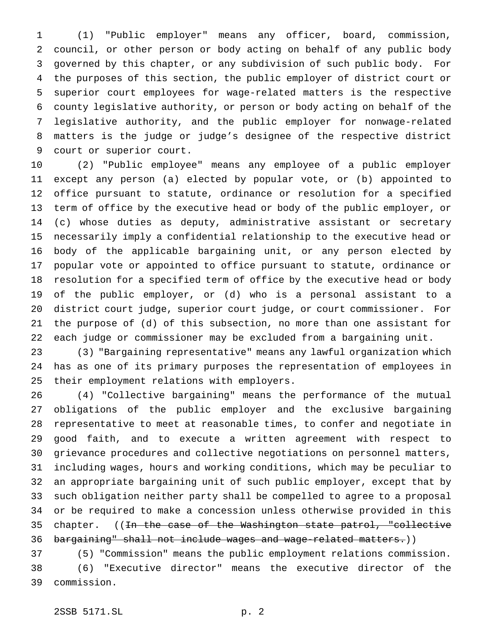(1) "Public employer" means any officer, board, commission, council, or other person or body acting on behalf of any public body governed by this chapter, or any subdivision of such public body. For the purposes of this section, the public employer of district court or superior court employees for wage-related matters is the respective county legislative authority, or person or body acting on behalf of the legislative authority, and the public employer for nonwage-related matters is the judge or judge's designee of the respective district court or superior court.

 (2) "Public employee" means any employee of a public employer except any person (a) elected by popular vote, or (b) appointed to office pursuant to statute, ordinance or resolution for a specified term of office by the executive head or body of the public employer, or (c) whose duties as deputy, administrative assistant or secretary necessarily imply a confidential relationship to the executive head or body of the applicable bargaining unit, or any person elected by popular vote or appointed to office pursuant to statute, ordinance or resolution for a specified term of office by the executive head or body of the public employer, or (d) who is a personal assistant to a district court judge, superior court judge, or court commissioner. For the purpose of (d) of this subsection, no more than one assistant for each judge or commissioner may be excluded from a bargaining unit.

 (3) "Bargaining representative" means any lawful organization which has as one of its primary purposes the representation of employees in their employment relations with employers.

 (4) "Collective bargaining" means the performance of the mutual obligations of the public employer and the exclusive bargaining representative to meet at reasonable times, to confer and negotiate in good faith, and to execute a written agreement with respect to grievance procedures and collective negotiations on personnel matters, including wages, hours and working conditions, which may be peculiar to an appropriate bargaining unit of such public employer, except that by such obligation neither party shall be compelled to agree to a proposal or be required to make a concession unless otherwise provided in this 35 chapter. ((<del>In the case of the Washington state patrol, "collective</del> 36 bargaining" shall not include wages and wage-related matters.))

 (5) "Commission" means the public employment relations commission. (6) "Executive director" means the executive director of the commission.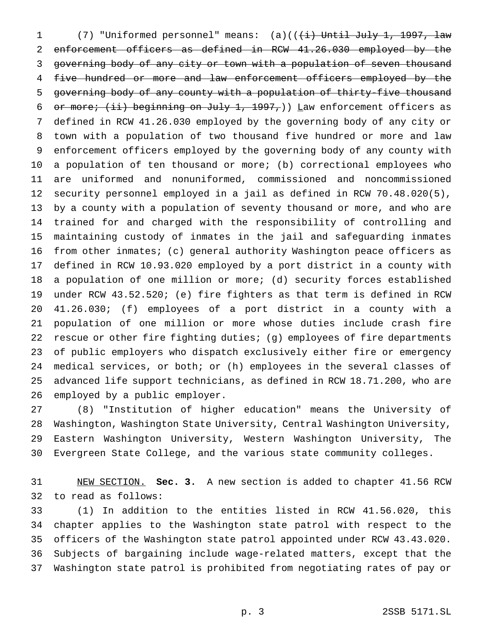1 (7) "Uniformed personnel" means: (a)((<del>(i) Until July 1, 1997, law</del> enforcement officers as defined in RCW 41.26.030 employed by the governing body of any city or town with a population of seven thousand 4 five hundred or more and law enforcement officers employed by the governing body of any county with a population of thirty-five thousand 6 or more; (ii) beginning on July 1, 1997,)) Law enforcement officers as defined in RCW 41.26.030 employed by the governing body of any city or town with a population of two thousand five hundred or more and law enforcement officers employed by the governing body of any county with a population of ten thousand or more; (b) correctional employees who are uniformed and nonuniformed, commissioned and noncommissioned security personnel employed in a jail as defined in RCW 70.48.020(5), by a county with a population of seventy thousand or more, and who are trained for and charged with the responsibility of controlling and maintaining custody of inmates in the jail and safeguarding inmates from other inmates; (c) general authority Washington peace officers as defined in RCW 10.93.020 employed by a port district in a county with a population of one million or more; (d) security forces established under RCW 43.52.520; (e) fire fighters as that term is defined in RCW 41.26.030; (f) employees of a port district in a county with a population of one million or more whose duties include crash fire rescue or other fire fighting duties; (g) employees of fire departments of public employers who dispatch exclusively either fire or emergency medical services, or both; or (h) employees in the several classes of advanced life support technicians, as defined in RCW 18.71.200, who are employed by a public employer.

 (8) "Institution of higher education" means the University of Washington, Washington State University, Central Washington University, Eastern Washington University, Western Washington University, The Evergreen State College, and the various state community colleges.

 NEW SECTION. **Sec. 3.** A new section is added to chapter 41.56 RCW to read as follows:

 (1) In addition to the entities listed in RCW 41.56.020, this chapter applies to the Washington state patrol with respect to the officers of the Washington state patrol appointed under RCW 43.43.020. Subjects of bargaining include wage-related matters, except that the Washington state patrol is prohibited from negotiating rates of pay or